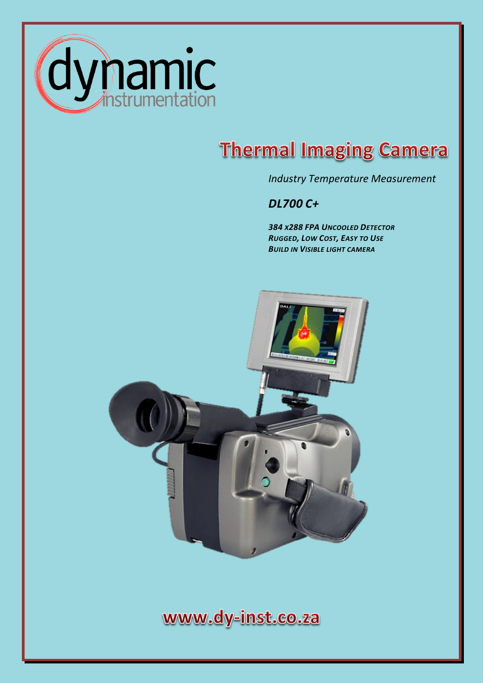

## **Thermal Imaging Camera**

*Industry Temperature Measurement* 

*DL700 C+* 

 *<sup>384</sup> X<sup>288</sup> FPA <sup>U</sup>NCOOLED DETECTOR RUGGED, LOW COST, EASY TO USE BUILD IN VISIBLE LIGHT CAMERA*



www.dy-inst.co.za